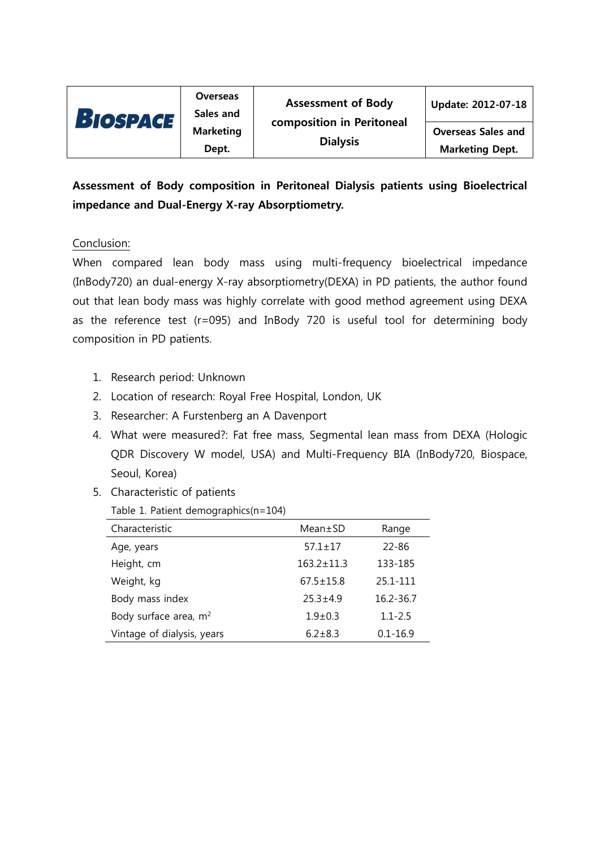

**Overseas** 

Overseas Sales and Marketing Dept.

# Assessment of Body composition in Peritoneal Dialysis patients using Bioelectrical impedance and Dual-Energy X-ray Absorptiometry.

## Conclusion:

When compared lean body mass using multi-frequency bioelectrical impedance (InBody720) an dual-energy X-ray absorptiometry(DEXA) in PD patients, the author found out that lean body mass was highly correlate with good method agreement using DEXA as the reference test (r=095) and InBody 720 is useful tool for determining body composition in PD patients.

- 1. Research period: Unknown
- 2. Location of research: Royal Free Hospital, London, UK
- 3. Researcher: A Furstenberg an A Davenport
- 4. What were measured?: Fat free mass, Segmental lean mass from DEXA (Hologic QDR Discovery W model, USA) and Multi-Frequency BIA (InBody720, Biospace, Seoul, Korea)
- 5. Characteristic of patients
	- Table 1. Patient demographics(n=104)

| Characteristic                    | $Mean \pm SD$    | Range        |
|-----------------------------------|------------------|--------------|
| Age, years                        | $57.1 \pm 17$    | $22 - 86$    |
| Height, cm                        | $163.2 \pm 11.3$ | 133-185      |
| Weight, kg                        | $67.5 \pm 15.8$  | 25.1-111     |
| Body mass index                   | $25.3 + 4.9$     | 16.2-36.7    |
| Body surface area, m <sup>2</sup> | $1.9 \pm 0.3$    | $1.1 - 2.5$  |
| Vintage of dialysis, years        | $6.2 + 8.3$      | $0.1 - 16.9$ |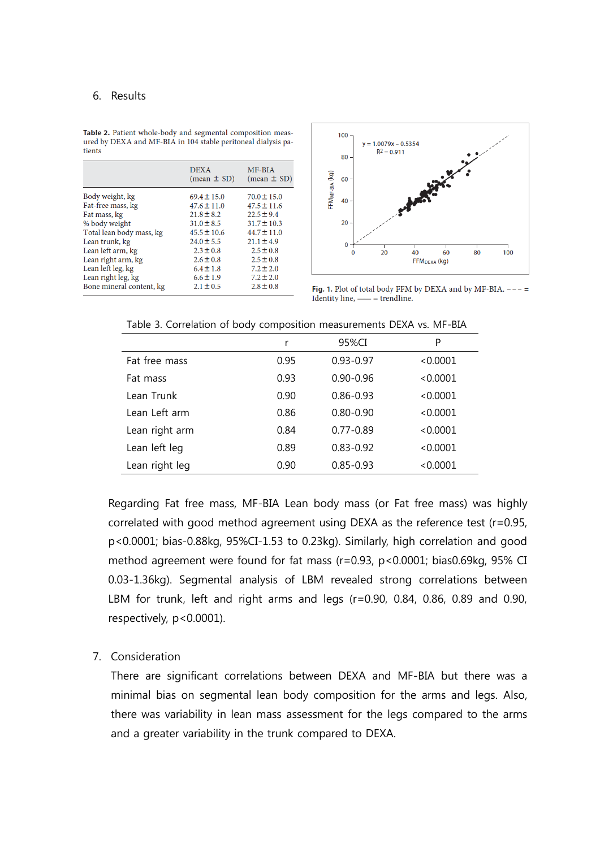#### 6. Results

|                          | <b>DEXA</b><br>$(mean \pm SD)$ | MF-BIA<br>$(mean \pm SD)$ |
|--------------------------|--------------------------------|---------------------------|
| Body weight, kg          | $69.4 \pm 15.0$                | $70.0 \pm 15.0$           |
| Fat-free mass, kg        | $47.6 \pm 11.0$                | $47.5 \pm 11.6$           |
| Fat mass, kg             | $21.8 \pm 8.2$                 | $22.5 \pm 9.4$            |
| % body weight            | $31.0 \pm 8.5$                 | $31.7 \pm 10.3$           |
| Total lean body mass, kg | $45.5 \pm 10.6$                | $44.7 \pm 11.0$           |
| Lean trunk, kg           | $24.0 \pm 5.5$                 | $21.1 \pm 4.9$            |
| Lean left arm, kg        | $2.3 \pm 0.8$                  | $2.5 \pm 0.8$             |
| Lean right arm, kg       | $2.6 \pm 0.8$                  | $2.5 \pm 0.8$             |
| Lean left leg, kg        | $6.4 \pm 1.8$                  | $7.2 \pm 2.0$             |
| Lean right leg, kg       | $6.6 \pm 1.9$                  | $7.2 \pm 2.0$             |
| Bone mineral content, kg | $2.1 \pm 0.5$                  | $2.8 \pm 0.8$             |

Table 2. Patient whole-body and segmental composition measured by DEXA and MF-BIA in 104 stable peritoneal dialysis patients



Fig. 1. Plot of total body FFM by DEXA and by MF-BIA.  $---$ Identity line, - = trendline.

|                | ╯    |               |          |
|----------------|------|---------------|----------|
|                | r    | 95%CI         | P        |
| Fat free mass  | 0.95 | $0.93 - 0.97$ | < 0.0001 |
| Fat mass       | 0.93 | $0.90 - 0.96$ | < 0.0001 |
| Lean Trunk     | 0.90 | $0.86 - 0.93$ | < 0.0001 |
| Lean Left arm  | 0.86 | $0.80 - 0.90$ | < 0.0001 |
| Lean right arm | 0.84 | $0.77 - 0.89$ | < 0.0001 |
| Lean left leg  | 0.89 | $0.83 - 0.92$ | < 0.0001 |
| Lean right leg | 0.90 | $0.85 - 0.93$ | < 0.0001 |

Table 3. Correlation of body composition measurements DEXA vs. MF-BIA

Regarding Fat free mass, MF-BIA Lean body mass (or Fat free mass) was highly correlated with good method agreement using DEXA as the reference test (r=0.95, p<0.0001; bias-0.88kg, 95%CI-1.53 to 0.23kg). Similarly, high correlation and good method agreement were found for fat mass (r=0.93, p<0.0001; bias0.69kg, 95% CI 0.03-1.36kg). Segmental analysis of LBM revealed strong correlations between LBM for trunk, left and right arms and legs (r=0.90, 0.84, 0.86, 0.89 and 0.90, respectively, p<0.0001).

#### 7. Consideration

There are significant correlations between DEXA and MF-BIA but there was a minimal bias on segmental lean body composition for the arms and legs. Also, there was variability in lean mass assessment for the legs compared to the arms and a greater variability in the trunk compared to DEXA.